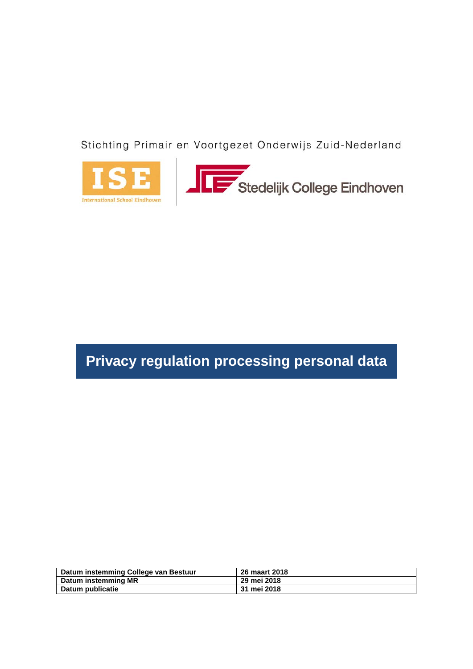Stichting Primair en Voortgezet Onderwijs Zuid-Nederland





# **Privacy regulation processing personal data**

| Datum instemming College van Bestuur | 26 maart 2018 |
|--------------------------------------|---------------|
| Datum instemming MR                  | 29 mei 2018   |
| Datum publicatie                     | 31 mei 2018   |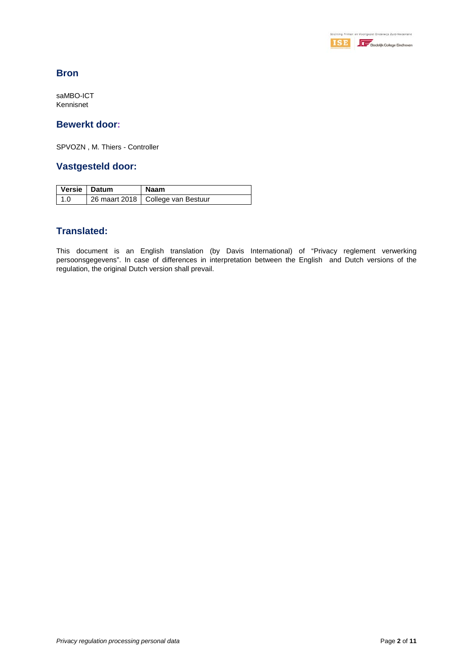

# **Bron**

saMBO-ICT Kennisnet

#### **Bewerkt door:**

SPVOZN , M. Thiers - Controller

#### **Vastgesteld door:**

| Versie   Datum | Naam                                |
|----------------|-------------------------------------|
| 1.0            | 26 maart 2018   College van Bestuur |

# **Translated:**

This document is an English translation (by Davis International) of "Privacy reglement verwerking persoonsgegevens". In case of differences in interpretation between the English and Dutch versions of the regulation, the original Dutch version shall prevail.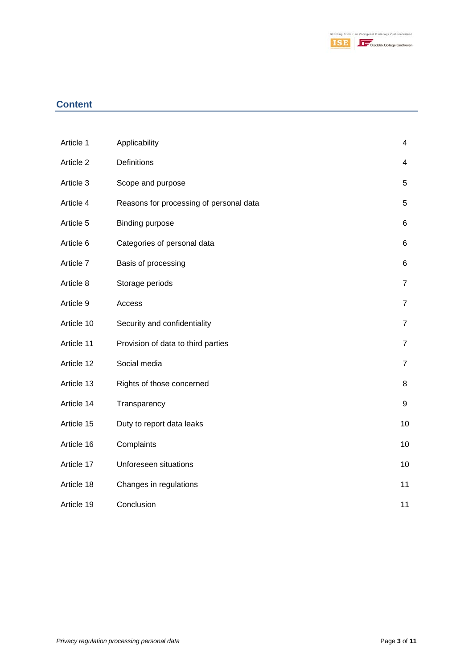

# **Content**

| Article 1  | Applicability                           | $\overline{4}$ |
|------------|-----------------------------------------|----------------|
| Article 2  | Definitions                             | $\overline{4}$ |
| Article 3  | Scope and purpose                       | 5              |
| Article 4  | Reasons for processing of personal data | 5              |
| Article 5  | <b>Binding purpose</b>                  | 6              |
| Article 6  | Categories of personal data             | 6              |
| Article 7  | Basis of processing                     | 6              |
| Article 8  | Storage periods                         | $\overline{7}$ |
| Article 9  | Access                                  | $\overline{7}$ |
| Article 10 | Security and confidentiality            | $\overline{7}$ |
| Article 11 | Provision of data to third parties      | $\overline{7}$ |
| Article 12 | Social media                            | $\overline{7}$ |
| Article 13 | Rights of those concerned               | 8              |
| Article 14 | Transparency                            | 9              |
| Article 15 | Duty to report data leaks               | 10             |
| Article 16 | Complaints                              | 10             |
| Article 17 | Unforeseen situations                   | 10             |
| Article 18 | Changes in regulations                  | 11             |
| Article 19 | Conclusion                              | 11             |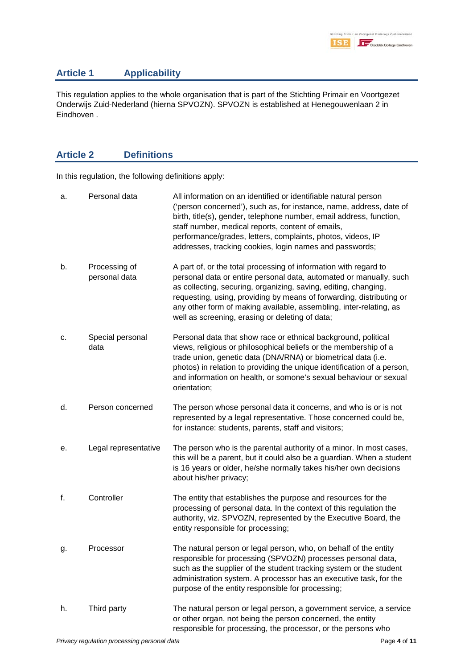## **Article 1 Applicability**

This regulation applies to the whole organisation that is part of the Stichting Primair en Voortgezet Onderwijs Zuid-Nederland (hierna SPVOZN). SPVOZN is established at Henegouwenlaan 2 in Eindhoven .

# **Article 2 Definitions**

In this regulation, the following definitions apply:

| a. | Personal data                  | All information on an identified or identifiable natural person<br>('person concerned'), such as, for instance, name, address, date of<br>birth, title(s), gender, telephone number, email address, function,<br>staff number, medical reports, content of emails,<br>performance/grades, letters, complaints, photos, videos, IP<br>addresses, tracking cookies, login names and passwords;               |
|----|--------------------------------|------------------------------------------------------------------------------------------------------------------------------------------------------------------------------------------------------------------------------------------------------------------------------------------------------------------------------------------------------------------------------------------------------------|
| b. | Processing of<br>personal data | A part of, or the total processing of information with regard to<br>personal data or entire personal data, automated or manually, such<br>as collecting, securing, organizing, saving, editing, changing,<br>requesting, using, providing by means of forwarding, distributing or<br>any other form of making available, assembling, inter-relating, as<br>well as screening, erasing or deleting of data; |
| c. | Special personal<br>data       | Personal data that show race or ethnical background, political<br>views, religious or philosophical beliefs or the membership of a<br>trade union, genetic data (DNA/RNA) or biometrical data (i.e.<br>photos) in relation to providing the unique identification of a person,<br>and information on health, or somone's sexual behaviour or sexual<br>orientation;                                        |
| d. | Person concerned               | The person whose personal data it concerns, and who is or is not<br>represented by a legal representative. Those concerned could be,<br>for instance: students, parents, staff and visitors;                                                                                                                                                                                                               |
| е. | Legal representative           | The person who is the parental authority of a minor. In most cases,<br>this will be a parent, but it could also be a guardian. When a student<br>is 16 years or older, he/she normally takes his/her own decisions<br>about his/her privacy;                                                                                                                                                               |
| f. | Controller                     | The entity that establishes the purpose and resources for the<br>processing of personal data. In the context of this regulation the<br>authority, viz. SPVOZN, represented by the Executive Board, the<br>entity responsible for processing;                                                                                                                                                               |
| g. | Processor                      | The natural person or legal person, who, on behalf of the entity<br>responsible for processing (SPVOZN) processes personal data,<br>such as the supplier of the student tracking system or the student<br>administration system. A processor has an executive task, for the<br>purpose of the entity responsible for processing;                                                                           |
| h. | Third party                    | The natural person or legal person, a government service, a service<br>or other organ, not being the person concerned, the entity<br>responsible for processing, the processor, or the persons who                                                                                                                                                                                                         |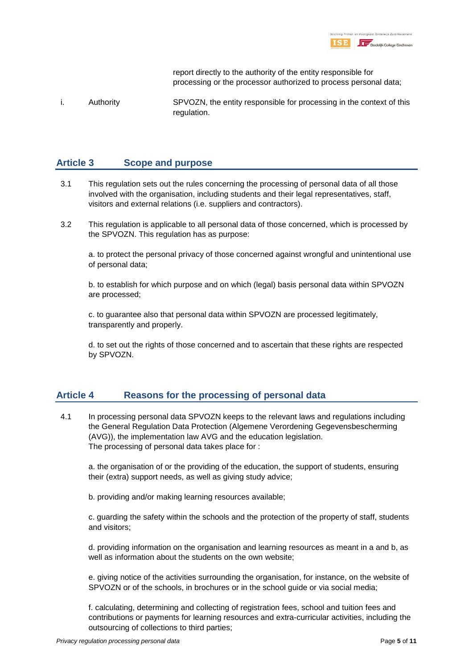|  |  | Stichting Primair en Voortgezet Onderwijs Zuid-Nederland |
|--|--|----------------------------------------------------------|
|  |  | Stedelijk College Eindhoven                              |

report directly to the authority of the entity responsible for processing or the processor authorized to process personal data;

i. Authority SPVOZN, the entity responsible for processing in the context of this regulation.

#### **Article 3 Scope and purpose**

- 3.1 This regulation sets out the rules concerning the processing of personal data of all those involved with the organisation, including students and their legal representatives, staff, visitors and external relations (i.e. suppliers and contractors).
- 3.2 This regulation is applicable to all personal data of those concerned, which is processed by the SPVOZN. This regulation has as purpose:

a. to protect the personal privacy of those concerned against wrongful and unintentional use of personal data;

b. to establish for which purpose and on which (legal) basis personal data within SPVOZN are processed;

c. to guarantee also that personal data within SPVOZN are processed legitimately, transparently and properly.

d. to set out the rights of those concerned and to ascertain that these rights are respected by SPVOZN.

#### **Article 4 Reasons for the processing of personal data**

4.1 In processing personal data SPVOZN keeps to the relevant laws and regulations including the General Regulation Data Protection (Algemene Verordening Gegevensbescherming (AVG)), the implementation law AVG and the education legislation. The processing of personal data takes place for :

a. the organisation of or the providing of the education, the support of students, ensuring their (extra) support needs, as well as giving study advice;

b. providing and/or making learning resources available;

c. guarding the safety within the schools and the protection of the property of staff, students and visitors;

d. providing information on the organisation and learning resources as meant in a and b, as well as information about the students on the own website;

e. giving notice of the activities surrounding the organisation, for instance, on the website of SPVOZN or of the schools, in brochures or in the school guide or via social media;

f. calculating, determining and collecting of registration fees, school and tuition fees and contributions or payments for learning resources and extra-curricular activities, including the outsourcing of collections to third parties;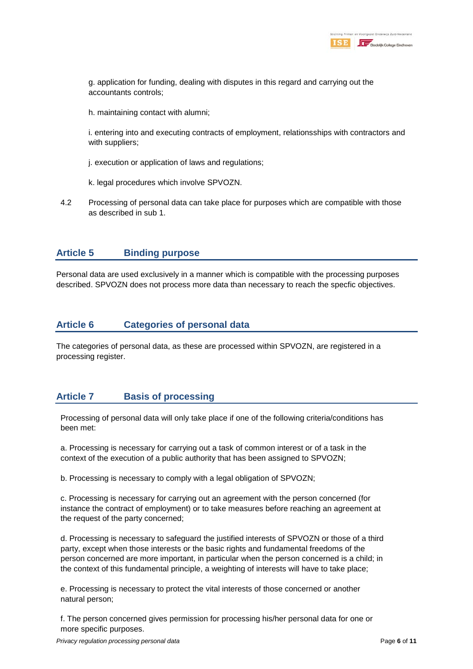g. application for funding, dealing with disputes in this regard and carrying out the accountants controls;

h. maintaining contact with alumni;

i. entering into and executing contracts of employment, relationsships with contractors and with suppliers;

- j. execution or application of laws and regulations;
- k. legal procedures which involve SPVOZN.
- 4.2 Processing of personal data can take place for purposes which are compatible with those as described in sub 1.

## **Article 5 Binding purpose**

Personal data are used exclusively in a manner which is compatible with the processing purposes described. SPVOZN does not process more data than necessary to reach the specfic objectives.

#### **Article 6 Categories of personal data**

The categories of personal data, as these are processed within SPVOZN, are registered in a processing register.

## **Article 7 Basis of processing**

Processing of personal data will only take place if one of the following criteria/conditions has been met:

a. Processing is necessary for carrying out a task of common interest or of a task in the context of the execution of a public authority that has been assigned to SPVOZN;

b. Processing is necessary to comply with a legal obligation of SPVOZN;

c. Processing is necessary for carrying out an agreement with the person concerned (for instance the contract of employment) or to take measures before reaching an agreement at the request of the party concerned;

d. Processing is necessary to safeguard the justified interests of SPVOZN or those of a third party, except when those interests or the basic rights and fundamental freedoms of the person concerned are more important, in particular when the person concerned is a child; in the context of this fundamental principle, a weighting of interests will have to take place;

e. Processing is necessary to protect the vital interests of those concerned or another natural person;

f. The person concerned gives permission for processing his/her personal data for one or more specific purposes.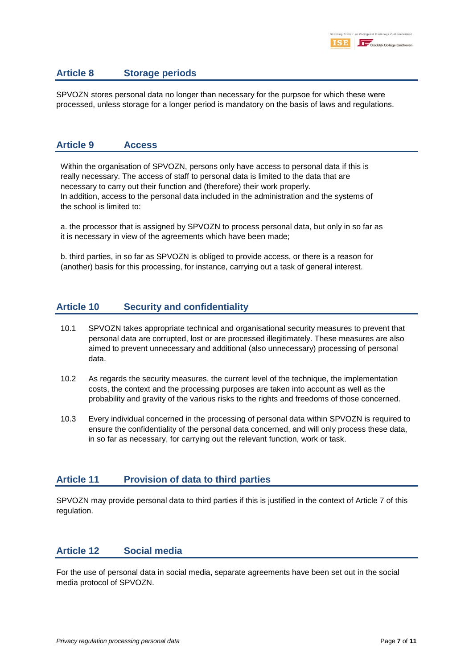#### **Article 8 Storage periods**

SPVOZN stores personal data no longer than necessary for the purpsoe for which these were processed, unless storage for a longer period is mandatory on the basis of laws and regulations.

#### **Article 9 Access**

Within the organisation of SPVOZN, persons only have access to personal data if this is really necessary. The access of staff to personal data is limited to the data that are necessary to carry out their function and (therefore) their work properly. In addition, access to the personal data included in the administration and the systems of the school is limited to:

a. the processor that is assigned by SPVOZN to process personal data, but only in so far as it is necessary in view of the agreements which have been made;

b. third parties, in so far as SPVOZN is obliged to provide access, or there is a reason for (another) basis for this processing, for instance, carrying out a task of general interest.

#### **Article 10 Security and confidentiality**

- 10.1 SPVOZN takes appropriate technical and organisational security measures to prevent that personal data are corrupted, lost or are processed illegitimately. These measures are also aimed to prevent unnecessary and additional (also unnecessary) processing of personal data.
- 10.2 As regards the security measures, the current level of the technique, the implementation costs, the context and the processing purposes are taken into account as well as the probability and gravity of the various risks to the rights and freedoms of those concerned.
- 10.3 Every individual concerned in the processing of personal data within SPVOZN is required to ensure the confidentiality of the personal data concerned, and will only process these data, in so far as necessary, for carrying out the relevant function, work or task.

#### **Article 11 Provision of data to third parties**

SPVOZN may provide personal data to third parties if this is justified in the context of Article 7 of this regulation.

#### **Article 12 Social media**

For the use of personal data in social media, separate agreements have been set out in the social media protocol of SPVOZN.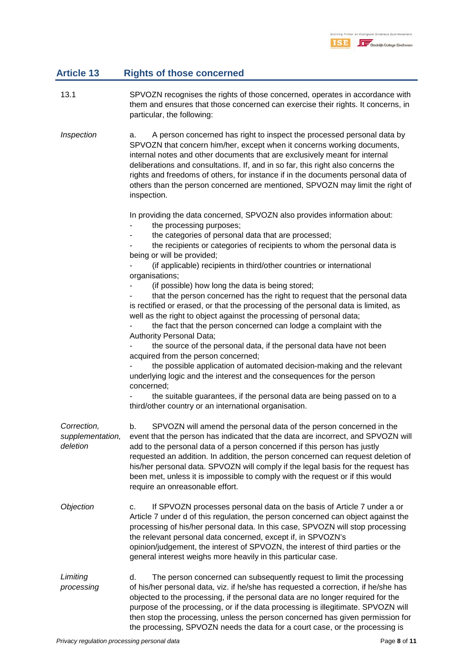# **Article 13 Rights of those concerned**

- 13.1 SPVOZN recognises the rights of those concerned, operates in accordance with them and ensures that those concerned can exercise their rights. It concerns, in particular, the following:
- *Inspection* a. A person concerned has right to inspect the processed personal data by SPVOZN that concern him/her, except when it concerns working documents, internal notes and other documents that are exclusively meant for internal deliberations and consultations. If, and in so far, this right also concerns the rights and freedoms of others, for instance if in the documents personal data of others than the person concerned are mentioned, SPVOZN may limit the right of inspection.

In providing the data concerned, SPVOZN also provides information about:

- the processing purposes;
- the categories of personal data that are processed;
- the recipients or categories of recipients to whom the personal data is being or will be provided;
- (if applicable) recipients in third/other countries or international organisations;
- (if possible) how long the data is being stored;

that the person concerned has the right to request that the personal data is rectified or erased, or that the processing of the personal data is limited, as well as the right to object against the processing of personal data;

the fact that the person concerned can lodge a complaint with the Authority Personal Data;

the source of the personal data, if the personal data have not been acquired from the person concerned;

the possible application of automated decision-making and the relevant underlying logic and the interest and the consequences for the person concerned;

the suitable guarantees, if the personal data are being passed on to a third/other country or an international organisation.

*Correction, supplementation, deletion* b. SPVOZN will amend the personal data of the person concerned in the event that the person has indicated that the data are incorrect, and SPVOZN will add to the personal data of a person concerned if this person has justly requested an addition. In addition, the person concerned can request deletion of his/her personal data. SPVOZN will comply if the legal basis for the request has been met, unless it is impossible to comply with the request or if this would require an onreasonable effort. *Objection* c. If SPVOZN processes personal data on the basis of Article 7 under a or Article 7 under d of this regulation, the person concerned can object against the processing of his/her personal data. In this case, SPVOZN will stop processing

> the relevant personal data concerned, except if, in SPVOZN's opinion/judgement, the interest of SPVOZN, the interest of third parties or the general interest weighs more heavily in this particular case.

*Limiting processing* d. The person concerned can subsequently request to limit the processing of his/her personal data, viz. if he/she has requested a correction, if he/she has objected to the processing, if the personal data are no longer required for the purpose of the processing, or if the data processing is illegitimate. SPVOZN will then stop the processing, unless the person concerned has given permission for the processing, SPVOZN needs the data for a court case, or the processing is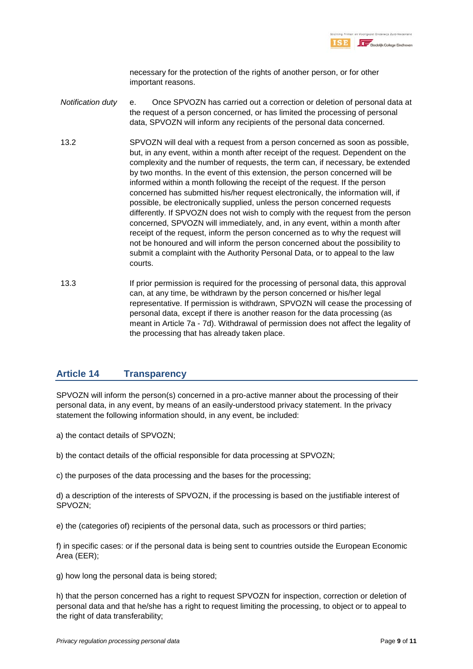

necessary for the protection of the rights of another person, or for other important reasons.

- *Notification duty* e. Once SPVOZN has carried out a correction or deletion of personal data at the request of a person concerned, or has limited the processing of personal data, SPVOZN will inform any recipients of the personal data concerned.
- 13.2 SPVOZN will deal with a request from a person concerned as soon as possible, but, in any event, within a month after receipt of the request. Dependent on the complexity and the number of requests, the term can, if necessary, be extended by two months. In the event of this extension, the person concerned will be informed within a month following the receipt of the request. If the person concerned has submitted his/her request electronically, the information will, if possible, be electronically supplied, unless the person concerned requests differently. If SPVOZN does not wish to comply with the request from the person concerned, SPVOZN will immediately, and, in any event, within a month after receipt of the request, inform the person concerned as to why the request will not be honoured and will inform the person concerned about the possibility to submit a complaint with the Authority Personal Data, or to appeal to the law courts.
- 13.3 If prior permission is required for the processing of personal data, this approval can, at any time, be withdrawn by the person concerned or his/her legal representative. If permission is withdrawn, SPVOZN will cease the processing of personal data, except if there is another reason for the data processing (as meant in Article 7a - 7d). Withdrawal of permission does not affect the legality of the processing that has already taken place.

## **Article 14 Transparency**

SPVOZN will inform the person(s) concerned in a pro-active manner about the processing of their personal data, in any event, by means of an easily-understood privacy statement. In the privacy statement the following information should, in any event, be included:

a) the contact details of SPVOZN;

b) the contact details of the official responsible for data processing at SPVOZN;

c) the purposes of the data processing and the bases for the processing;

d) a description of the interests of SPVOZN, if the processing is based on the justifiable interest of SPVOZN;

e) the (categories of) recipients of the personal data, such as processors or third parties;

f) in specific cases: or if the personal data is being sent to countries outside the European Economic Area (EER);

g) how long the personal data is being stored;

h) that the person concerned has a right to request SPVOZN for inspection, correction or deletion of personal data and that he/she has a right to request limiting the processing, to object or to appeal to the right of data transferability;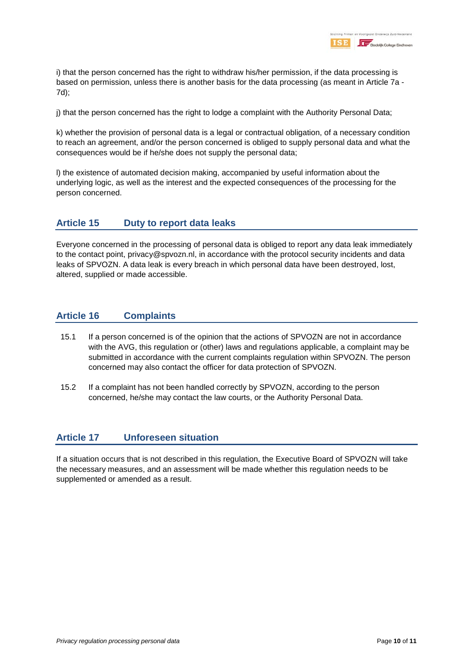i) that the person concerned has the right to withdraw his/her permission, if the data processing is based on permission, unless there is another basis for the data processing (as meant in Article 7a - 7d);

j) that the person concerned has the right to lodge a complaint with the Authority Personal Data;

k) whether the provision of personal data is a legal or contractual obligation, of a necessary condition to reach an agreement, and/or the person concerned is obliged to supply personal data and what the consequences would be if he/she does not supply the personal data;

l) the existence of automated decision making, accompanied by useful information about the underlying logic, as well as the interest and the expected consequences of the processing for the person concerned.

#### **Article 15 Duty to report data leaks**

Everyone concerned in the processing of personal data is obliged to report any data leak immediately to the contact point, privacy@spvozn.nl, in accordance with the protocol security incidents and data leaks of SPVOZN. A data leak is every breach in which personal data have been destroyed, lost, altered, supplied or made accessible.

## **Article 16 Complaints**

- 15.1 If a person concerned is of the opinion that the actions of SPVOZN are not in accordance with the AVG, this regulation or (other) laws and regulations applicable, a complaint may be submitted in accordance with the current complaints regulation within SPVOZN. The person concerned may also contact the officer for data protection of SPVOZN.
- 15.2 If a complaint has not been handled correctly by SPVOZN, according to the person concerned, he/she may contact the law courts, or the Authority Personal Data.

#### **Article 17 Unforeseen situation**

If a situation occurs that is not described in this regulation, the Executive Board of SPVOZN will take the necessary measures, and an assessment will be made whether this regulation needs to be supplemented or amended as a result.